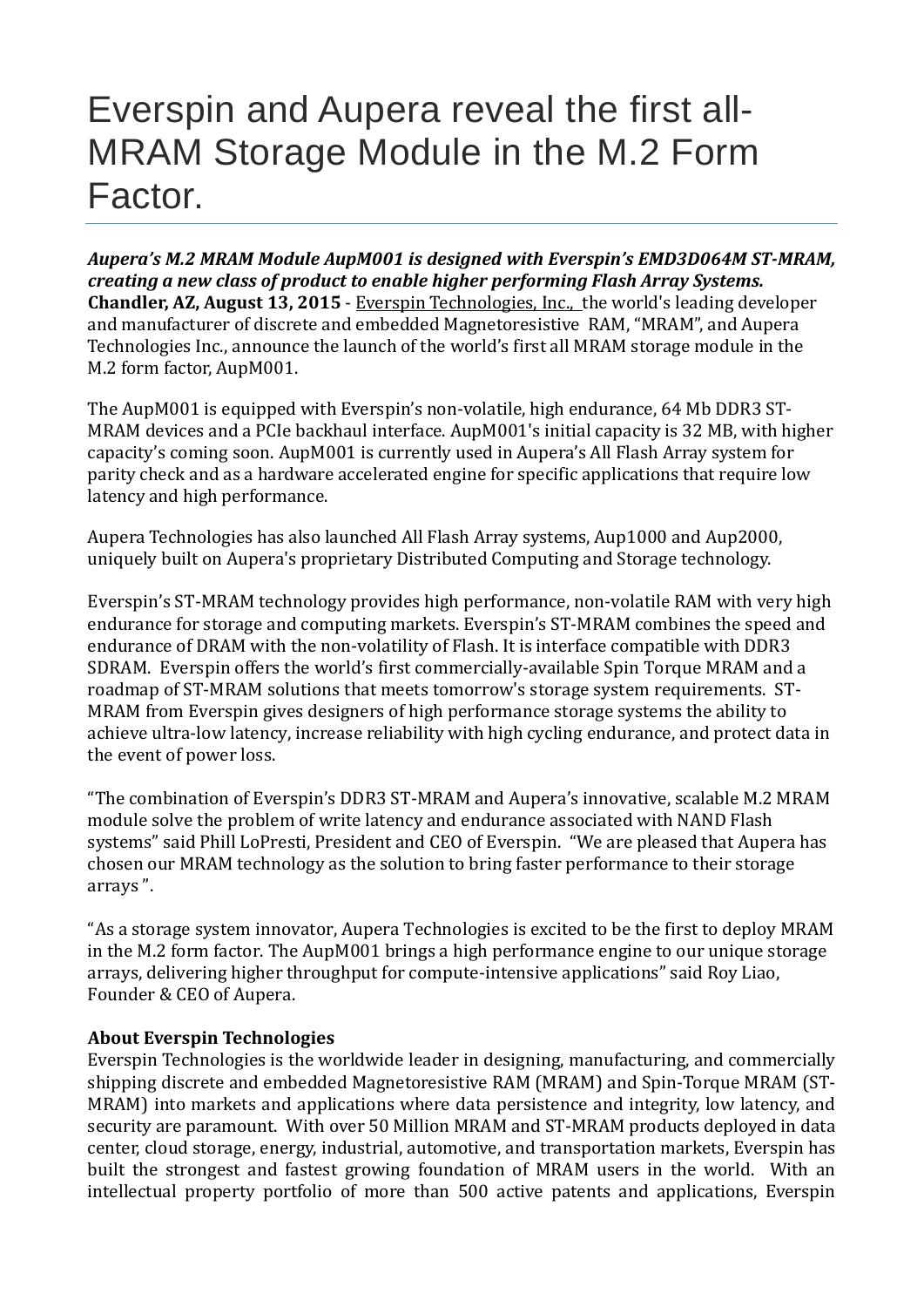## Everspin and Aupera reveal the first all-MRAM Storage Module in the M.2 Form Factor.

*Aupera's M.2 MRAM Module AupM001 is designed with Everspin's EMD3D064M ST-MRAM, creating a new class of product to enable higher performing Flash Array Systems.* **Chandler, AZ, August 13, 2015** - Everspin [Technologies,](http://www.everspin.com/) Inc., the world's leading developer and manufacturer of discrete and embedded Magnetoresistive RAM, "MRAM", and Aupera Technologies Inc., announce the launch of the world's first all MRAM storage module in the M.2 form factor, AupM001.

The AupM001 is equipped with Everspin's non-volatile, high endurance, 64 Mb DDR3 ST-MRAM devices and a PCIe backhaul interface. AupM001's initial capacity is 32 MB, with higher capacity's coming soon. AupM001 is currently used in Aupera's All Flash Array system for parity check and as a hardware accelerated engine for specific applications that require low latency and high performance.

Aupera Technologies has also launched All Flash Array systems, Aup1000 and Aup2000, uniquely built on Aupera's proprietary Distributed Computing and Storage technology.

Everspin's ST-MRAM technology provides high performance, non-volatile RAM with very high endurance for storage and computing markets. Everspin's ST-MRAM combines the speed and endurance of DRAM with the non-volatility of Flash. It is interface compatible with DDR3 SDRAM. Everspin offers the world's first commercially-available Spin Torque MRAM and a roadmap of ST-MRAM solutions that meets tomorrow's storage system requirements. ST-MRAM from Everspin gives designers of high performance storage systems the ability to achieve ultra-low latency, increase reliability with high cycling endurance, and protect data in the event of power loss.

"The combination of Everspin's DDR3 ST-MRAM and Aupera's innovative, scalable M.2 MRAM module solve the problem of write latency and endurance associated with NAND Flash systems" said Phill LoPresti, President and CEO of Everspin. "We are pleased that Aupera has chosen our MRAM technology as the solution to bring faster performance to their storage arrays ".

"As a storage system innovator, Aupera Technologies is excited to be the first to deploy MRAM in the M.2 form factor. The AupM001 brings a high performance engine to our unique storage arrays, delivering higher throughput for compute-intensive applications" said Roy Liao, Founder & CEO of Aupera.

## **About Everspin Technologies**

Everspin Technologies is the worldwide leader in designing, manufacturing, and commercially shipping discrete and embedded Magnetoresistive RAM (MRAM) and Spin-Torque MRAM (ST-MRAM) into markets and applications where data persistence and integrity, low latency, and security are paramount. With over 50 Million MRAM and ST-MRAM products deployed in data center, cloud storage, energy, industrial, automotive, and transportation markets, Everspin has built the strongest and fastest growing foundation of MRAM users in the world. With an intellectual property portfolio of more than 500 active patents and applications, Everspin